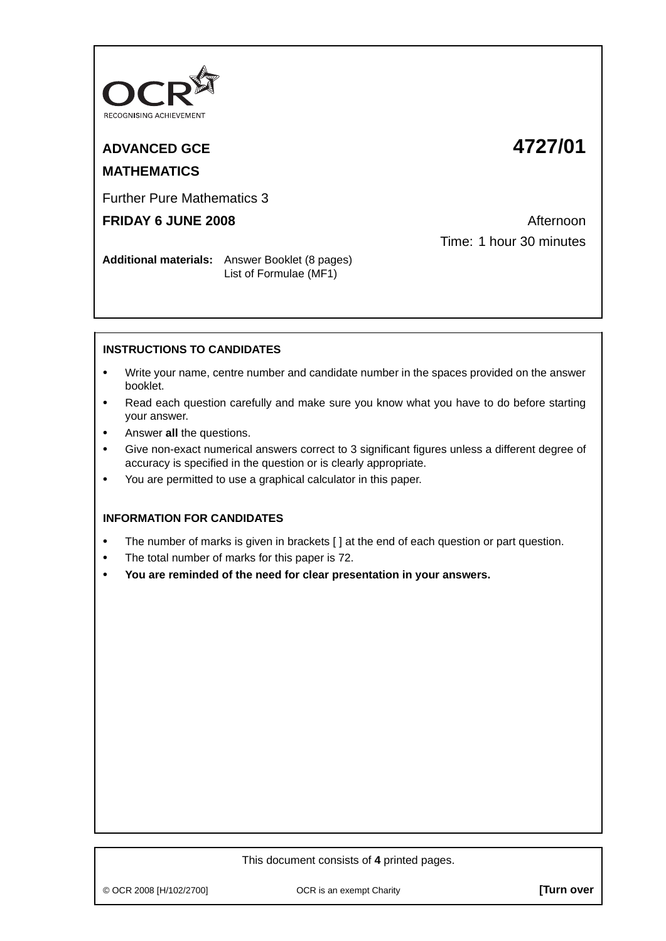

## **ADVANCED GCE 4727/01**

# **MATHEMATICS**

Further Pure Mathematics 3

### **FRIDAY 6 JUNE 2008 Afternoon**

Time: 1 hour 30 minutes

**Additional materials:** Answer Booklet (8 pages) List of Formulae (MF1)

#### **INSTRUCTIONS TO CANDIDATES**

- **•** Write your name, centre number and candidate number in the spaces provided on the answer booklet.
- **•** Read each question carefully and make sure you know what you have to do before starting your answer.
- **•** Answer **all** the questions.
- **•** Give non-exact numerical answers correct to 3 significant figures unless a different degree of accuracy is specified in the question or is clearly appropriate.
- **•** You are permitted to use a graphical calculator in this paper.

#### **INFORMATION FOR CANDIDATES**

- The number of marks is given in brackets [ ] at the end of each question or part question.
- **•** The total number of marks for this paper is 72.
- **• You are reminded of the need for clear presentation in your answers.**

#### This document consists of **4** printed pages.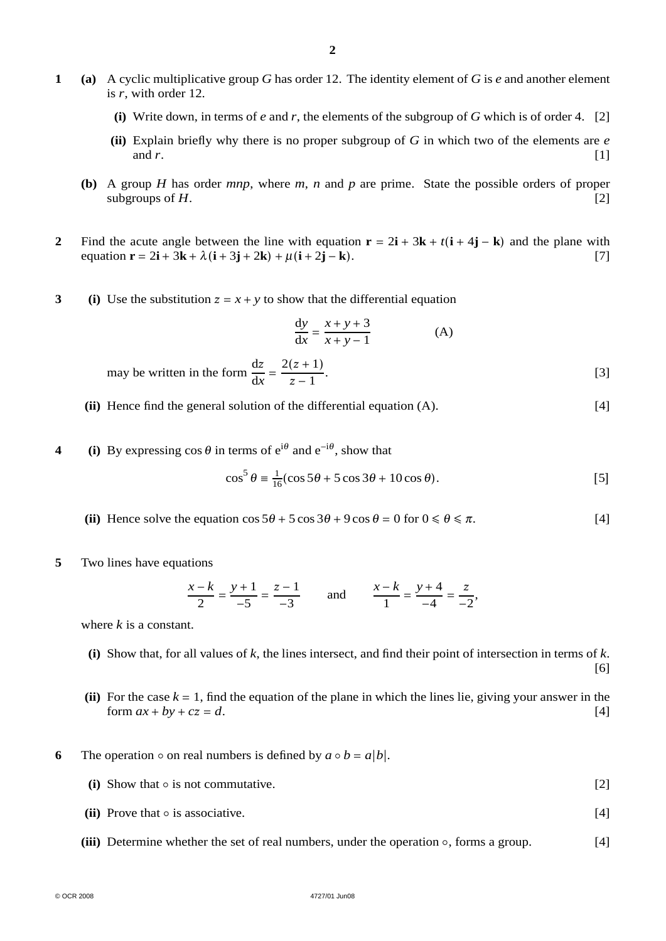- **1 (a)** A cyclic multiplicative group *G* has order 12. The identity element of *G* is *e* and another element is *r*, with order 12.
	- (i) Write down, in terms of *e* and *r*, the elements of the subgroup of *G* which is of order 4. [2]
	- **(ii)** Explain briefly why there is no proper subgroup of *G* in which two of the elements are *e* and  $r$ . [1]
	- **(b)** A group *H* has order *mnp*, where *m*, *n* and *p* are prime. State the possible orders of proper subgroups of  $H$ . [2]
- **2** Find the acute angle between the line with equation  $\mathbf{r} = 2\mathbf{i} + 3\mathbf{k} + t(\mathbf{i} + 4\mathbf{j} \mathbf{k})$  and the plane with  $\text{equation } \mathbf{r} = 2\mathbf{i} + 3\mathbf{k} + \lambda(\mathbf{i} + 3\mathbf{j} + 2\mathbf{k}) + \mu(\mathbf{i} + 2\mathbf{j} - \mathbf{k}).$  [7]
- **3** (i) Use the substitution  $z = x + y$  to show that the differential equation

$$
\frac{dy}{dx} = \frac{x+y+3}{x+y-1}
$$
 (A)

may be written in the form 
$$
\frac{dz}{dx} = \frac{2(z+1)}{z-1}
$$
. [3]

- **(ii)** Hence find the general solution of the differential equation (A). [4]
- **4** (i) By expressing cos  $\theta$  in terms of  $e^{i\theta}$  and  $e^{-i\theta}$ , show that

$$
\cos^5 \theta \equiv \frac{1}{16} (\cos 5\theta + 5\cos 3\theta + 10\cos \theta). \tag{5}
$$

- (ii) Hence solve the equation  $\cos 5\theta + 5 \cos 3\theta + 9 \cos \theta = 0$  for  $0 \le \theta \le \pi$ . [4]
- **5** Two lines have equations

$$
\frac{x-k}{2} = \frac{y+1}{-5} = \frac{z-1}{-3}
$$
 and 
$$
\frac{x-k}{1} = \frac{y+4}{-4} = \frac{z}{-2}
$$
,

where *k* is a constant.

- **(i)** Show that, for all values of *k*, the lines intersect, and find their point of intersection in terms of *k*. [6]
- (ii) For the case  $k = 1$ , find the equation of the plane in which the lines lie, giving your answer in the form  $ax + by + cz = d$ . [4] form  $ax + by + cz = d$ .
- **6** The operation  $\circ$  on real numbers is defined by  $a \circ b = a|b|$ .
	- **(i)** Show that is not commutative. [2]
	- **(ii)** Prove that is associative. [4]
	- **(iii)** Determine whether the set of real numbers, under the operation ∘, forms a group. [4]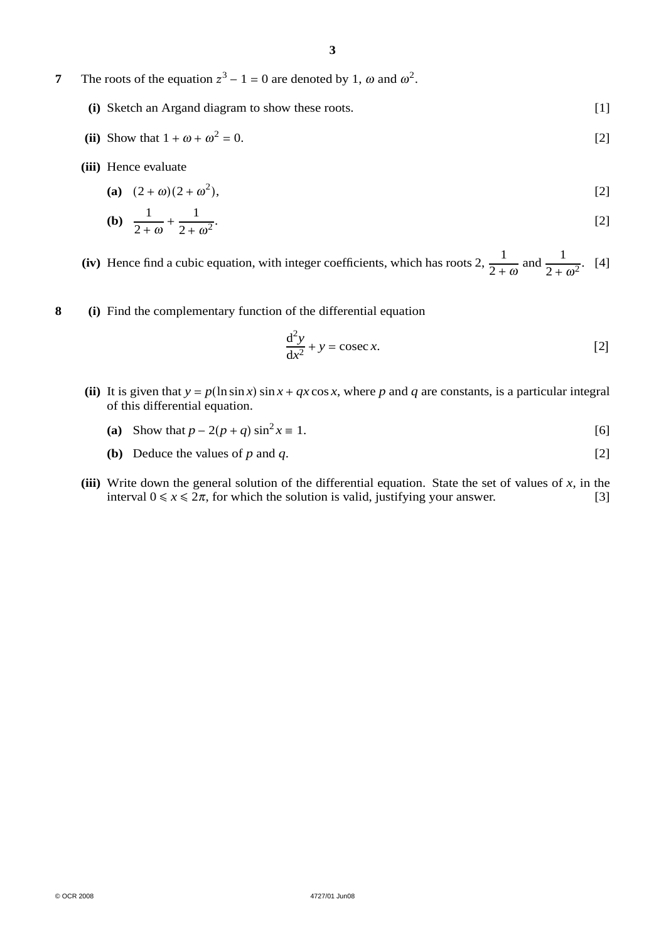**7** The roots of the equation  $z^3 - 1 = 0$  are denoted by 1,  $\omega$  and  $\omega^2$ .

- **(i)** Sketch an Argand diagram to show these roots. [1]
- **(ii)** Show that  $1 + \omega + \omega^2 = 0$ . [2]
- **(iii)** Hence evaluate

(a) 
$$
(2 + \omega)(2 + \omega^2)
$$
, [2]

**(b)** 
$$
\frac{1}{2+\omega} + \frac{1}{2+\omega^2}
$$
 [2]

**(iv)** Hence find a cubic equation, with integer coefficients, which has roots 2,  $\frac{1}{2}$  $2 + \omega$ and  $\frac{1}{2 + \omega^2}$ . [4]

**8 (i)** Find the complementary function of the differential equation

$$
\frac{d^2y}{dx^2} + y = \csc x.
$$
 [2]

- (ii) It is given that  $y = p(\ln \sin x) \sin x + qx \cos x$ , where *p* and *q* are constants, is a particular integral of this differential equation.
	- (a) Show that  $p 2(p + q) \sin^2 x \equiv 1$ . [6]
	- **(b)** Deduce the values of  $p$  and  $q$ . [2]
- (iii) Write down the general solution of the differential equation. State the set of values of  $x$ , in the interval  $0 \le x \le 2\pi$ , for which the solution is valid, justifying your answer. [3]